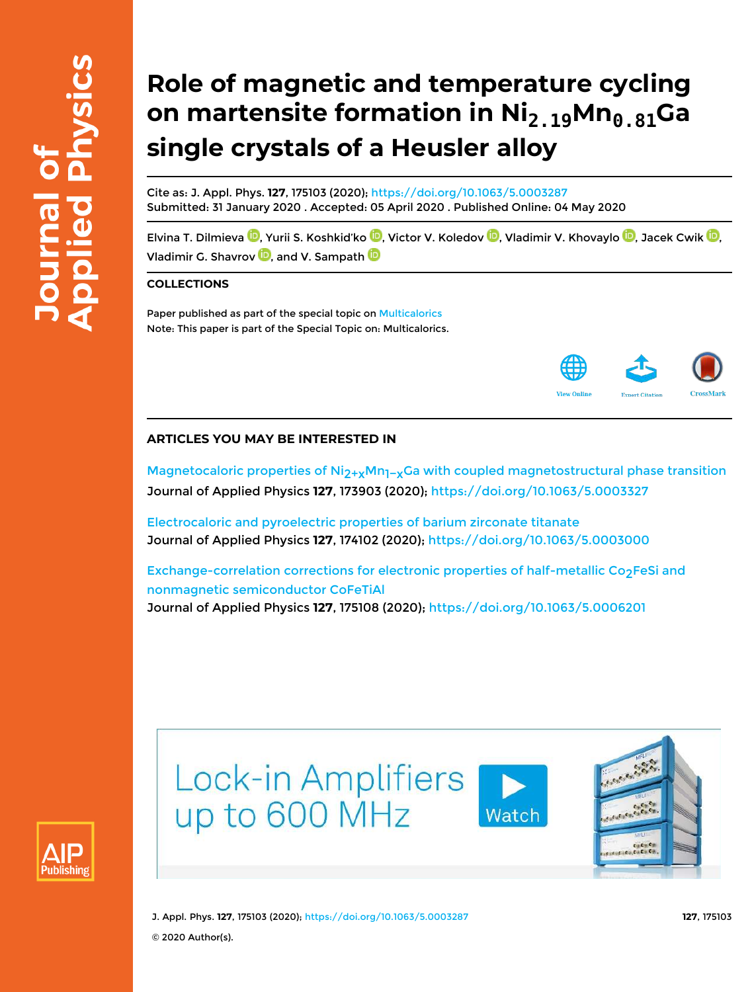# **Role of magnetic and temperature cycling on martensite formation in Ni2.19Mn0.81Ga single crystals of a Heusler alloy**

Cite as: J. Appl. Phys. **127**, 175103 (2020); https://doi.org/10.1063/5.0003287 Submitted: 31 January 2020 . Accepted: 05 April 2020 . Published Online: 04 May 2020

Elvina T. Dilmieva <sup>(D</sup>. Yurii S. Koshkid'ko <sup>(D</sup>. Victor V. Koledov <sup>(D</sup>. Vladimir V. Khovaylo <sup>(D</sup>. Jacek Cwik <sup>(D</sup>. Vladimir G. Shavrov  $\blacksquare$ , and V. Sampath  $\blacksquare$ 

### **COLLECTIONS**

Paper published as part of the special topic on Multicalorics Note: This paper is part of the Special Topic on: Multicalorics.



## **ARTICLES YOU MAY BE INTERESTED IN**

Magnetocaloric properties of Ni<sub>2+x</sub>Mn<sub>1−x</sub>Ga with coupled magnetostructural phase transition Journal of Applied Physics **127**, 173903 (2020); https://doi.org/10.1063/5.0003327

Electrocaloric and pyroelectric properties of barium zirconate titanate Journal of Applied Physics **127**, 174102 (2020); https://doi.org/10.1063/5.0003000

Exchange-correlation corrections for electronic properties of half-metallic  $Co<sub>2</sub>FeSi$  and nonmagnetic semiconductor CoFeTiAl Journal of Applied Physics **127**, 175108 (2020); https://doi.org/10.1063/5.0006201





J. Appl. Phys. **127**, 175103 (2020); https://doi.org/10.1063/5.0003287 **127**, 175103 © 2020 Author(s).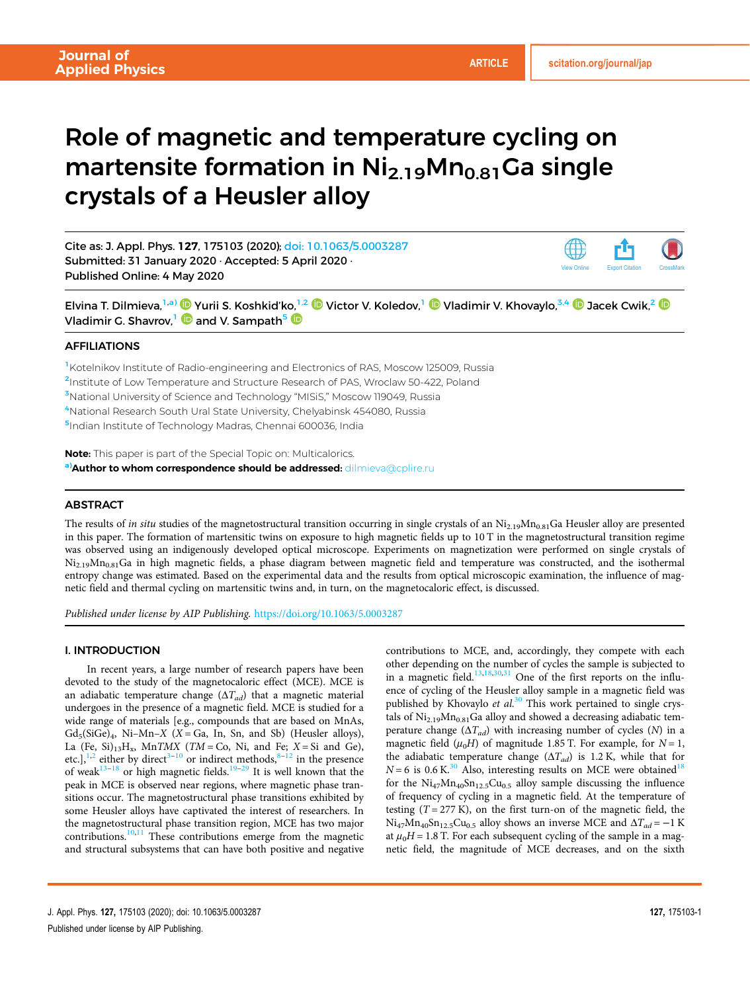View Online Export Citation CrossMark

# Role of magnetic and temperature cycling on martensite formation in  $\text{Ni}_{2.19}\text{Mn}_{0.81}$ Ga single crystals of a Heusler alloy

Cite as: J. Appl. Phys. 127, 175103 (2020); doi: 10.1063/5.0003287 Submitted: 31 January 2020 · Accepted: 5 April 2020 · Published Online: 4 May 2020

Elvina T. Dilmieva,<sup>1,a)</sup> © Yurii S. Koshkid'ko,<sup>1,2</sup> © Victor V. Koledov,<sup>1</sup> © Vladimir V. Khovaylo,<sup>3,4</sup> © Jacek Cwik,<sup>2</sup> © Vladimir G. Shavrov,<sup>1</sup>  $\bullet$  and V. Sampath<sup>5</sup>

#### AFFILIATIONS

<sup>1</sup>Kotelnikov Institute of Radio-engineering and Electronics of RAS, Moscow 125009, Russia

<sup>2</sup>Institute of Low Temperature and Structure Research of PAS, Wroclaw 50-422, Poland

<sup>3</sup>National University of Science and Technology "MISiS," Moscow 119049, Russia

<sup>4</sup>National Research South Ural State University, Chelyabinsk 454080, Russia

5Indian Institute of Technology Madras, Chennai 600036, India

Note: This paper is part of the Special Topic on: Multicalorics. a) Author to whom correspondence should be addressed: dilmieva@cplire.ru

#### **ABSTRACT**

The results of *in situ* studies of the magnetostructural transition occurring in single crystals of an  $Ni_{2.19}Mn_{0.81}Ga$  Heusler alloy are presented in this paper. The formation of martensitic twins on exposure to high magnetic fields up to 10 T in the magnetostructural transition regime was observed using an indigenously developed optical microscope. Experiments on magnetization were performed on single crystals of  $Ni_{2.19}Mn_{0.81}$ Ga in high magnetic fields, a phase diagram between magnetic field and temperature was constructed, and the isothermal entropy change was estimated. Based on the experimental data and the results from optical microscopic examination, the influence of magnetic field and thermal cycling on martensitic twins and, in turn, on the magnetocaloric effect, is discussed.

*Published under license by AIP Publishing.* https://doi.org/10.1063/5.0003287

#### I. INTRODUCTION

In recent years, a large number of research papers have been devoted to the study of the magnetocaloric effect (MCE). MCE is an adiabatic temperature change (Δ*Tad*) that a magnetic material undergoes in the presence of a magnetic field. MCE is studied for a wide range of materials [e.g., compounds that are based on MnAs,  $Gd_5(SiGe)_4$ , Ni-Mn-*X* (*X* = Ga, In, Sn, and Sb) (Heusler alloys), La  $(Fe, Si)_{13}H_x$ ,  $MnTMX$  (*TM* = Co, Ni, and Fe; *X* = Si and Ge), etc.],<sup>1,2</sup> either by direct<sup>3–10</sup> or indirect methods,<sup>8–12</sup> in the presence of weak<sup>13–18</sup> or high magnetic fields.<sup>19–29</sup> It is well known that the peak in MCE is observed near regions, where magnetic phase transitions occur. The magnetostructural phase transitions exhibited by some Heusler alloys have captivated the interest of researchers. In the magnetostructural phase transition region, MCE has two major contributions.<sup>10,11</sup> These contributions emerge from the magnetic and structural subsystems that can have both positive and negative contributions to MCE, and, accordingly, they compete with each other depending on the number of cycles the sample is subjected to in a magnetic field.<sup>13,18,30,31</sup> One of the first reports on the influence of cycling of the Heusler alloy sample in a magnetic field was published by Khovaylo *et al*. <sup>30</sup> This work pertained to single crystals of  $Ni_{2.19}Mn_{0.81}Ga$  alloy and showed a decreasing adiabatic temperature change  $(\Delta T_{ad})$  with increasing number of cycles (*N*) in a magnetic field  $(\mu_0 H)$  of magnitude 1.85 T. For example, for  $N = 1$ , the adiabatic temperature change  $(\Delta T_{ad})$  is 1.2 K, while that for  $N = 6$  is 0.6 K.<sup>30</sup> Also, interesting results on MCE were obtained<sup>18</sup> for the  $Ni_{47}Mn_{40}Sn_{12.5}Cu_{0.5}$  alloy sample discussing the influence of frequency of cycling in a magnetic field. At the temperature of testing  $(T = 277 \text{ K})$ , on the first turn-on of the magnetic field, the  $Ni_{47}Mn_{40}Sn_{12.5}Cu_{0.5}$  alloy shows an inverse MCE and  $\Delta T_{ad} = -1$  K at  $\mu_0H = 1.8$  T. For each subsequent cycling of the sample in a magnetic field, the magnitude of MCE decreases, and on the sixth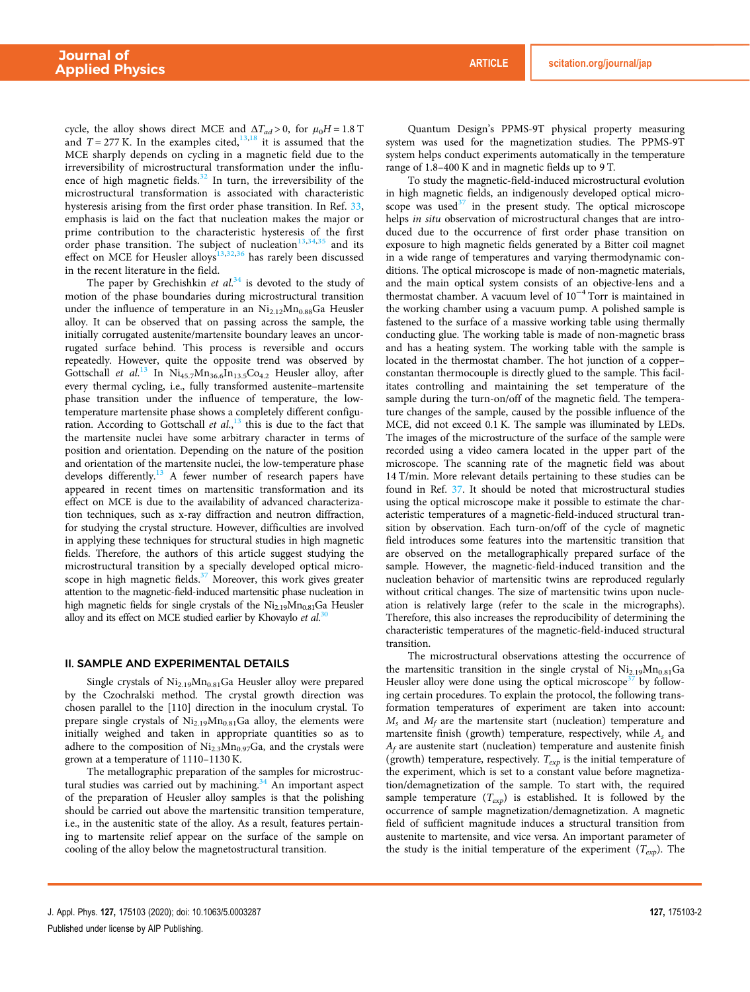cycle, the alloy shows direct MCE and  $\Delta T_{ad} > 0$ , for  $\mu_0 H = 1.8$  T and  $T = 277$  K. In the examples cited,  $\frac{13,18}{11}$  it is assumed that the MCE sharply depends on cycling in a magnetic field due to the irreversibility of microstructural transformation under the influence of high magnetic fields.<sup>32</sup> In turn, the irreversibility of the microstructural transformation is associated with characteristic hysteresis arising from the first order phase transition. In Ref. 33, emphasis is laid on the fact that nucleation makes the major or prime contribution to the characteristic hysteresis of the first order phase transition. The subject of nucleation<sup>13,34,35</sup> and its effect on MCE for Heusler alloys<sup>13,32,36</sup> has rarely been discussed in the recent literature in the field.

The paper by Grechishkin *et al*. <sup>34</sup> is devoted to the study of motion of the phase boundaries during microstructural transition under the influence of temperature in an  $Ni<sub>2.12</sub>Mn<sub>0.88</sub>Ga$  Heusler alloy. It can be observed that on passing across the sample, the initially corrugated austenite/martensite boundary leaves an uncorrugated surface behind. This process is reversible and occurs repeatedly. However, quite the opposite trend was observed by Gottschall et al.<sup>13</sup> In Ni<sub>45.7</sub>Mn<sub>36.6</sub>In<sub>13.5</sub>Co<sub>4.2</sub> Heusler alloy, after every thermal cycling, i.e., fully transformed austenite–martensite phase transition under the influence of temperature, the lowtemperature martensite phase shows a completely different configuration. According to Gottschall *et al*., <sup>13</sup> this is due to the fact that the martensite nuclei have some arbitrary character in terms of position and orientation. Depending on the nature of the position and orientation of the martensite nuclei, the low-temperature phase develops differently.<sup>13</sup> A fewer number of research papers have appeared in recent times on martensitic transformation and its effect on MCE is due to the availability of advanced characterization techniques, such as x-ray diffraction and neutron diffraction, for studying the crystal structure. However, difficulties are involved in applying these techniques for structural studies in high magnetic fields. Therefore, the authors of this article suggest studying the microstructural transition by a specially developed optical microscope in high magnetic fields.<sup>37</sup> Moreover, this work gives greater attention to the magnetic-field-induced martensitic phase nucleation in high magnetic fields for single crystals of the  $Ni<sub>2.19</sub>Mn<sub>0.81</sub>Ga$  Heusler alloy and its effect on MCE studied earlier by Khovaylo *et al*. 30

#### II. SAMPLE AND EXPERIMENTAL DETAILS

Single crystals of  $Ni_{2.19}Mn_{0.81}Ga$  Heusler alloy were prepared by the Czochralski method. The crystal growth direction was chosen parallel to the [110] direction in the inoculum crystal. To prepare single crystals of  $Ni<sub>2.19</sub>Mn<sub>0.81</sub>Ga$  alloy, the elements were initially weighed and taken in appropriate quantities so as to adhere to the composition of  $Ni_{2.3}Mn_{0.97}Ga$ , and the crystals were grown at a temperature of 1110–1130 K.

The metallographic preparation of the samples for microstructural studies was carried out by machining.<sup>34</sup> An important aspect of the preparation of Heusler alloy samples is that the polishing should be carried out above the martensitic transition temperature, i.e., in the austenitic state of the alloy. As a result, features pertaining to martensite relief appear on the surface of the sample on cooling of the alloy below the magnetostructural transition.

Quantum Design's PPMS-9T physical property measuring system was used for the magnetization studies. The PPMS-9T system helps conduct experiments automatically in the temperature range of 1.8–400 K and in magnetic fields up to 9 T.

To study the magnetic-field-induced microstructural evolution in high magnetic fields, an indigenously developed optical microscope was used $37$  in the present study. The optical microscope helps *in situ* observation of microstructural changes that are introduced due to the occurrence of first order phase transition on exposure to high magnetic fields generated by a Bitter coil magnet in a wide range of temperatures and varying thermodynamic conditions. The optical microscope is made of non-magnetic materials, and the main optical system consists of an objective-lens and a thermostat chamber. A vacuum level of  $10^{-4}$  Torr is maintained in the working chamber using a vacuum pump. A polished sample is fastened to the surface of a massive working table using thermally conducting glue. The working table is made of non-magnetic brass and has a heating system. The working table with the sample is located in the thermostat chamber. The hot junction of a copper– constantan thermocouple is directly glued to the sample. This facilitates controlling and maintaining the set temperature of the sample during the turn-on/off of the magnetic field. The temperature changes of the sample, caused by the possible influence of the MCE, did not exceed 0.1 K. The sample was illuminated by LEDs. The images of the microstructure of the surface of the sample were recorded using a video camera located in the upper part of the microscope. The scanning rate of the magnetic field was about 14 T/min. More relevant details pertaining to these studies can be found in Ref. 37. It should be noted that microstructural studies using the optical microscope make it possible to estimate the characteristic temperatures of a magnetic-field-induced structural transition by observation. Each turn-on/off of the cycle of magnetic field introduces some features into the martensitic transition that are observed on the metallographically prepared surface of the sample. However, the magnetic-field-induced transition and the nucleation behavior of martensitic twins are reproduced regularly without critical changes. The size of martensitic twins upon nucleation is relatively large (refer to the scale in the micrographs). Therefore, this also increases the reproducibility of determining the characteristic temperatures of the magnetic-field-induced structural transition.

The microstructural observations attesting the occurrence of the martensitic transition in the single crystal of  $Ni<sub>2.19</sub>Mn<sub>0.81</sub>Ga$ Heusler alloy were done using the optical microscope<sup>37</sup> by following certain procedures. To explain the protocol, the following transformation temperatures of experiment are taken into account:  $M_s$  and  $M_f$  are the martensite start (nucleation) temperature and martensite finish (growth) temperature, respectively, while *A<sup>s</sup>* and *A<sup>f</sup>* are austenite start (nucleation) temperature and austenite finish (growth) temperature, respectively.  $T_{exp}$  is the initial temperature of the experiment, which is set to a constant value before magnetization/demagnetization of the sample. To start with, the required sample temperature (*Texp*) is established. It is followed by the occurrence of sample magnetization/demagnetization. A magnetic field of sufficient magnitude induces a structural transition from austenite to martensite, and vice versa. An important parameter of the study is the initial temperature of the experiment  $(T_{exp})$ . The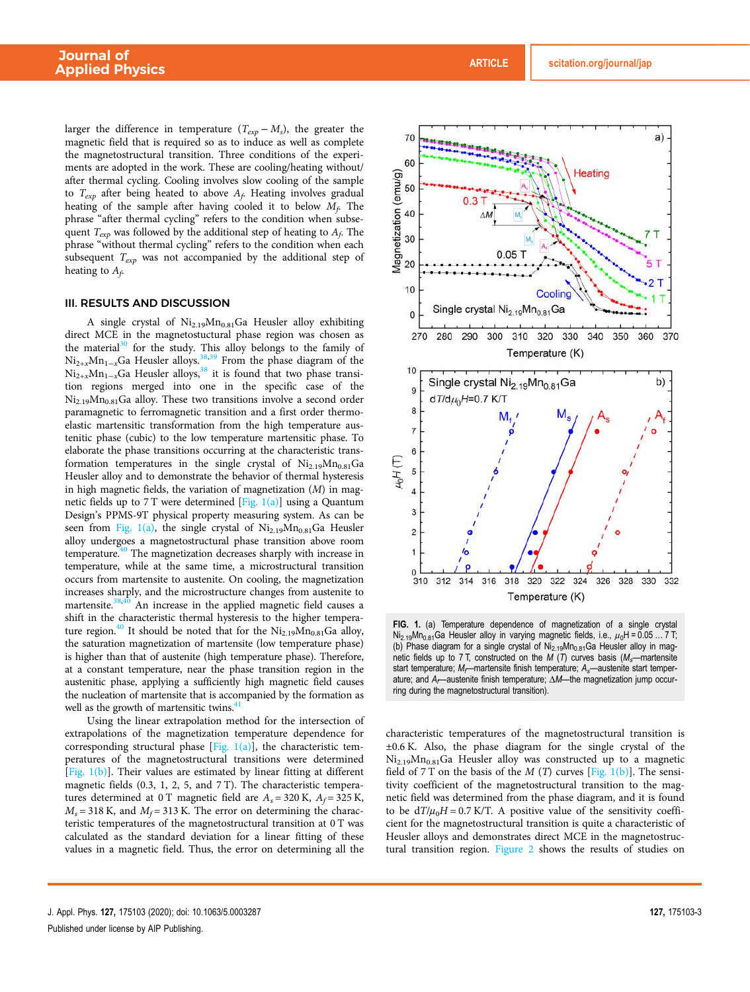larger the difference in temperature  $(T_{exp} - M_s)$ , the greater the magnetic field that is required so as to induce as well as complete the magnetostructural transition. Three conditions of the experiments are adopted in the work. These are cooling/heating without/ after thermal cycling. Cooling involves slow cooling of the sample to *Texp* after being heated to above *A<sup>f</sup>* . Heating involves gradual heating of the sample after having cooled it to below *M<sup>f</sup>* . The phrase "after thermal cycling" refers to the condition when subsequent *Texp* was followed by the additional step of heating to *A<sup>f</sup>* . The phrase "without thermal cycling" refers to the condition when each subsequent *Texp* was not accompanied by the additional step of heating to *A<sup>f</sup>* .

#### III. RESULTS AND DISCUSSION

A single crystal of  $Ni<sub>2.19</sub>Mn<sub>0.81</sub>Ga$  Heusler alloy exhibiting direct MCE in the magnetostuctural phase region was chosen as the material<sup>30</sup> for the study. This alloy belongs to the family of Ni<sub>2+*x*</sub>Mn<sub>1−*x*</sub>Ga Heusler alloys.<sup>38,39</sup> From the phase diagram of the  $Ni_{2+x}^{1-x}Mn_{1-x}Ga$  Heusler alloys,<sup>38</sup> it is found that two phase transition regions merged into one in the specific case of the  $Ni_{2.19}Mn_{0.81}Ga$  alloy. These two transitions involve a second order paramagnetic to ferromagnetic transition and a first order thermoelastic martensitic transformation from the high temperature austenitic phase (cubic) to the low temperature martensitic phase. To elaborate the phase transitions occurring at the characteristic transformation temperatures in the single crystal of  $Ni_{2.19}Mn_{0.81}Ga$ Heusler alloy and to demonstrate the behavior of thermal hysteresis in high magnetic fields, the variation of magnetization (*M*) in magnetic fields up to 7 T were determined  $[Fig. 1(a)]$  using a Quantum Design's PPMS-9T physical property measuring system. As can be seen from Fig. 1(a), the single crystal of  $Ni_{2.19}Mn_{0.81}Ga$  Heusler alloy undergoes a magnetostructural phase transition above room temperature.<sup>40</sup> The magnetization decreases sharply with increase in temperature, while at the same time, a microstructural transition occurs from martensite to austenite. On cooling, the magnetization increases sharply, and the microstructure changes from austenite to martensite.<sup>38,40</sup> An increase in the applied magnetic field causes a shift in the characteristic thermal hysteresis to the higher temperature region.<sup>40</sup> It should be noted that for the  $Ni_{2.19}Mn_{0.81}Ga$  alloy, the saturation magnetization of martensite (low temperature phase) is higher than that of austenite (high temperature phase). Therefore, at a constant temperature, near the phase transition region in the austenitic phase, applying a sufficiently high magnetic field causes the nucleation of martensite that is accompanied by the formation as well as the growth of martensitic twins.<sup>4</sup>

Using the linear extrapolation method for the intersection of extrapolations of the magnetization temperature dependence for corresponding structural phase [Fig.  $1(a)$ ], the characteristic temperatures of the magnetostructural transitions were determined [Fig.  $1(b)$ ]. Their values are estimated by linear fitting at different magnetic fields (0.3, 1, 2, 5, and 7 T). The characteristic temperatures determined at 0 T magnetic field are  $A_s = 320$  K,  $A_f = 325$  K,  $M_s$  = 318 K, and  $M_f$  = 313 K. The error on determining the characteristic temperatures of the magnetostructural transition at 0 T was calculated as the standard deviation for a linear fitting of these values in a magnetic field. Thus, the error on determining all the



FIG. 1. (a) Temperature dependence of magnetization of a single crystal Ni<sub>2.19</sub>Mn<sub>0.81</sub>Ga Heusler alloy in varying magnetic fields, i.e.,  $\mu_0$ H = 0.05 ... 7 T; (b) Phase diagram for a single crystal of  $N_{2.19}$ Mn<sub>0.81</sub>Ga Heusler alloy in magnetic fields up to 7 T, constructed on the  $M$  (T) curves basis ( $M_s$ —martensite start temperature;  $M_f$ —martensite finish temperature;  $A_s$ —austenite start temperature; and A<sub>t</sub>—austenite finish temperature; ΔM—the magnetization jump occurring during the magnetostructural transition).

characteristic temperatures of the magnetostructural transition is ±0.6 K. Also, the phase diagram for the single crystal of the Ni<sub>2.19</sub>Mn<sub>0.81</sub>Ga Heusler alloy was constructed up to a magnetic field of 7 T on the basis of the  $M(T)$  curves [Fig. 1(b)]. The sensitivity coefficient of the magnetostructural transition to the magnetic field was determined from the phase diagram, and it is found to be  $dT/\mu_0H = 0.7$  K/T. A positive value of the sensitivity coefficient for the magnetostructural transition is quite a characteristic of Heusler alloys and demonstrates direct MCE in the magnetostructural transition region. Figure 2 shows the results of studies on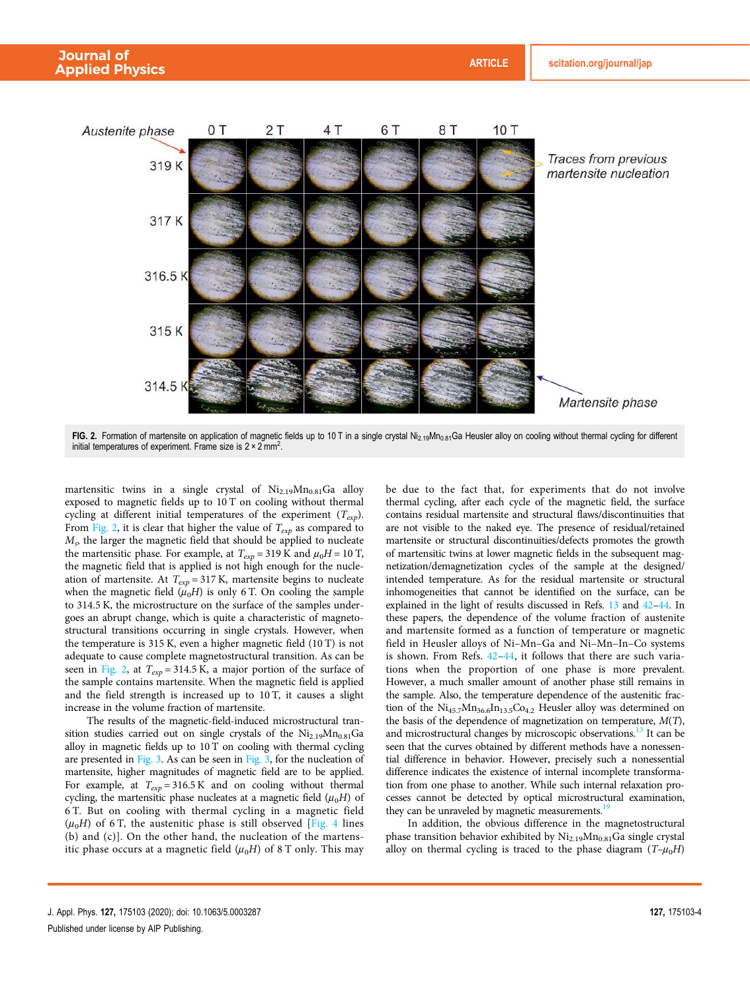



FIG. 2. Formation of martensite on application of magnetic fields up to 10 T in a single crystal Ni<sub>2.19</sub>Mn<sub>0.81</sub>Ga Heusler alloy on cooling without thermal cycling for different initial temperatures of experiment. Frame size is  $2 \times 2 \text{ mm}^2$ .

martensitic twins in a single crystal of  $Ni<sub>2.19</sub>Mn<sub>0.81</sub>Ga$  alloy exposed to magnetic fields up to 10 T on cooling without thermal cycling at different initial temperatures of the experiment (*Texp*). From Fig. 2, it is clear that higher the value of  $T_{exp}$  as compared to *M<sup>s</sup>* , the larger the magnetic field that should be applied to nucleate the martensitic phase. For example, at  $T_{exp} = 319$  K and  $\mu_0 H = 10$  T, the magnetic field that is applied is not high enough for the nucleation of martensite. At  $T_{exp} = 317$  K, martensite begins to nucleate when the magnetic field  $(\mu_0 H)$  is only 6 T. On cooling the sample to 314.5 K, the microstructure on the surface of the samples undergoes an abrupt change, which is quite a characteristic of magnetostructural transitions occurring in single crystals. However, when the temperature is 315 K, even a higher magnetic field (10 T) is not adequate to cause complete magnetostructural transition. As can be seen in Fig. 2, at  $T_{exp} = 314.5 \text{ K}$ , a major portion of the surface of the sample contains martensite. When the magnetic field is applied and the field strength is increased up to 10 T, it causes a slight increase in the volume fraction of martensite.

The results of the magnetic-field-induced microstructural transition studies carried out on single crystals of the  $Ni<sub>2.19</sub>Mn<sub>0.81</sub>Ga$ alloy in magnetic fields up to 10 T on cooling with thermal cycling are presented in Fig. 3. As can be seen in Fig. 3, for the nucleation of martensite, higher magnitudes of magnetic field are to be applied. For example, at  $T_{exp} = 316.5 \text{ K}$  and on cooling without thermal cycling, the martensitic phase nucleates at a magnetic field  $(\mu_0 H)$  of 6 T. But on cooling with thermal cycling in a magnetic field  $(\mu_0 H)$  of 6 T, the austenitic phase is still observed [Fig. 4 lines] (b) and (c)]. On the other hand, the nucleation of the martensitic phase occurs at a magnetic field  $(\mu_0 H)$  of 8 T only. This may be due to the fact that, for experiments that do not involve thermal cycling, after each cycle of the magnetic field, the surface contains residual martensite and structural flaws/discontinuities that are not visible to the naked eye. The presence of residual/retained martensite or structural discontinuities/defects promotes the growth of martensitic twins at lower magnetic fields in the subsequent magnetization/demagnetization cycles of the sample at the designed/ intended temperature. As for the residual martensite or structural inhomogeneities that cannot be identified on the surface, can be explained in the light of results discussed in Refs. 13 and 42–44. In these papers, the dependence of the volume fraction of austenite and martensite formed as a function of temperature or magnetic field in Heusler alloys of Ni–Mn–Ga and Ni–Mn–In–Co systems is shown. From Refs. 42–44, it follows that there are such variations when the proportion of one phase is more prevalent. However, a much smaller amount of another phase still remains in the sample. Also, the temperature dependence of the austenitic fraction of the  $Ni_{45.7}Mn_{36.6}In_{13.5}Co_{4.2}$  Heusler alloy was determined on the basis of the dependence of magnetization on temperature, *M*(*T*), and microstructural changes by microscopic observations.<sup>13</sup> It can be seen that the curves obtained by different methods have a nonessential difference in behavior. However, precisely such a nonessential difference indicates the existence of internal incomplete transformation from one phase to another. While such internal relaxation processes cannot be detected by optical microstructural examination, they can be unraveled by magnetic measurements.<sup>1</sup>

In addition, the obvious difference in the magnetostructural phase transition behavior exhibited by  $Ni<sub>2.19</sub>Mn<sub>0.81</sub>Ga$  single crystal alloy on thermal cycling is traced to the phase diagram  $(T-\mu_0H)$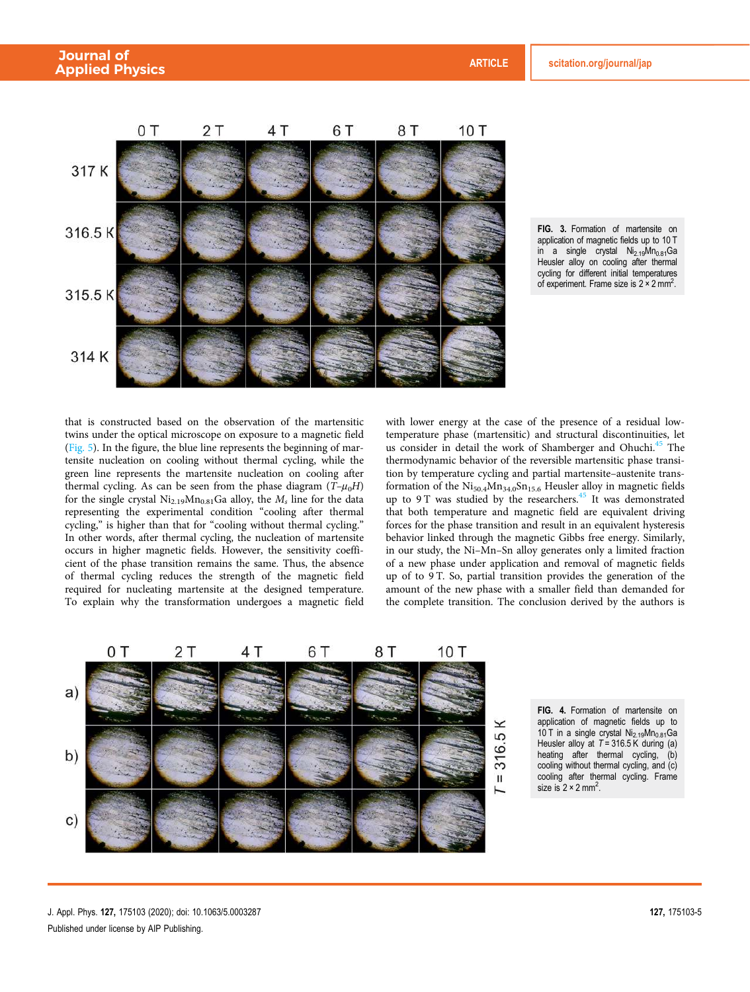



that is constructed based on the observation of the martensitic twins under the optical microscope on exposure to a magnetic field (Fig. 5). In the figure, the blue line represents the beginning of martensite nucleation on cooling without thermal cycling, while the green line represents the martensite nucleation on cooling after thermal cycling. As can be seen from the phase diagram  $(T-\mu_0H)$ for the single crystal  $\mathrm{Ni}_{2.19}\mathrm{Mn}_{0.81}\mathrm{Ga}$  alloy, the  $M_s$  line for the data representing the experimental condition "cooling after thermal cycling," is higher than that for "cooling without thermal cycling." In other words, after thermal cycling, the nucleation of martensite occurs in higher magnetic fields. However, the sensitivity coefficient of the phase transition remains the same. Thus, the absence of thermal cycling reduces the strength of the magnetic field required for nucleating martensite at the designed temperature. To explain why the transformation undergoes a magnetic field

with lower energy at the case of the presence of a residual lowtemperature phase (martensitic) and structural discontinuities, let us consider in detail the work of Shamberger and Ohuchi.<sup>45</sup> The thermodynamic behavior of the reversible martensitic phase transition by temperature cycling and partial martensite–austenite transformation of the  $Ni_{50.4}Mn_{34.0}Sn_{15.6}$  Heusler alloy in magnetic fields up to 9 T was studied by the researchers.<sup>45</sup> It was demonstrated that both temperature and magnetic field are equivalent driving forces for the phase transition and result in an equivalent hysteresis behavior linked through the magnetic Gibbs free energy. Similarly, in our study, the Ni–Mn–Sn alloy generates only a limited fraction of a new phase under application and removal of magnetic fields up of to 9 T. So, partial transition provides the generation of the amount of the new phase with a smaller field than demanded for the complete transition. The conclusion derived by the authors is



FIG. 4. Formation of martensite on application of magnetic fields up to  $10$  T in a single crystal Ni<sub>2.19</sub>Mn<sub>0.81</sub>Ga Heusler alloy at  $T = 316.5$  K during (a) heating after thermal cycling, (b) cooling without thermal cycling, and (c) cooling after thermal cycling. Frame size is  $2 \times 2$  mm<sup>2</sup>.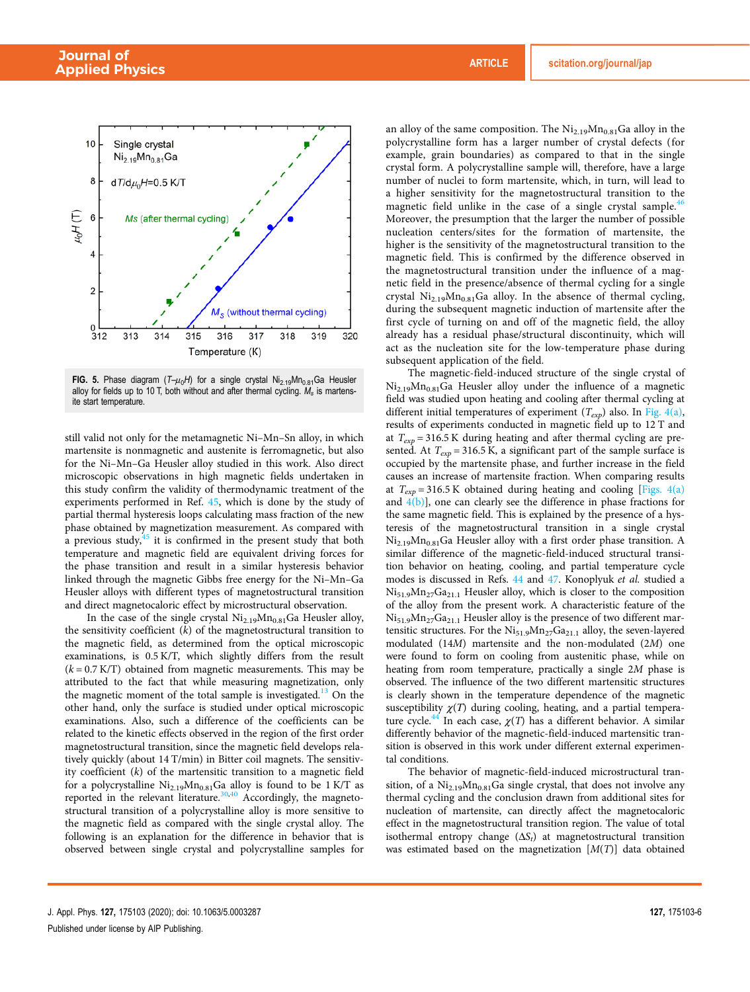

FIG. 5. Phase diagram  $(T-\mu_0H)$  for a single crystal  $Ni_{2.19}Mn_{0.81}Ga$  Heusler alloy for fields up to 10 T, both without and after thermal cycling.  $M_s$  is martensite start temperature.

still valid not only for the metamagnetic Ni–Mn–Sn alloy, in which martensite is nonmagnetic and austenite is ferromagnetic, but also for the Ni–Mn–Ga Heusler alloy studied in this work. Also direct microscopic observations in high magnetic fields undertaken in this study confirm the validity of thermodynamic treatment of the experiments performed in Ref. 45, which is done by the study of partial thermal hysteresis loops calculating mass fraction of the new phase obtained by magnetization measurement. As compared with a previous study, $45$  it is confirmed in the present study that both temperature and magnetic field are equivalent driving forces for the phase transition and result in a similar hysteresis behavior linked through the magnetic Gibbs free energy for the Ni–Mn–Ga Heusler alloys with different types of magnetostructural transition and direct magnetocaloric effect by microstructural observation.

In the case of the single crystal  $Ni<sub>2.19</sub>Mn<sub>0.81</sub>Ga$  Heusler alloy, the sensitivity coefficient (*k*) of the magnetostructural transition to the magnetic field, as determined from the optical microscopic examinations, is 0.5 K/T, which slightly differs from the result  $(k = 0.7 K/T)$  obtained from magnetic measurements. This may be attributed to the fact that while measuring magnetization, only the magnetic moment of the total sample is investigated.<sup>13</sup> On the other hand, only the surface is studied under optical microscopic examinations. Also, such a difference of the coefficients can be related to the kinetic effects observed in the region of the first order magnetostructural transition, since the magnetic field develops relatively quickly (about 14 T/min) in Bitter coil magnets. The sensitivity coefficient (*k*) of the martensitic transition to a magnetic field for a polycrystalline  $Ni<sub>2.19</sub>Mn<sub>0.81</sub>Ga$  alloy is found to be 1 K/T as reported in the relevant literature.<sup>30,40</sup> Accordingly, the magnetostructural transition of a polycrystalline alloy is more sensitive to the magnetic field as compared with the single crystal alloy. The following is an explanation for the difference in behavior that is observed between single crystal and polycrystalline samples for an alloy of the same composition. The  $Ni<sub>2.19</sub>Mn<sub>0.81</sub>Ga$  alloy in the polycrystalline form has a larger number of crystal defects (for example, grain boundaries) as compared to that in the single crystal form. A polycrystalline sample will, therefore, have a large number of nuclei to form martensite, which, in turn, will lead to a higher sensitivity for the magnetostructural transition to the magnetic field unlike in the case of a single crystal sample.<sup>46</sup> Moreover, the presumption that the larger the number of possible nucleation centers/sites for the formation of martensite, the higher is the sensitivity of the magnetostructural transition to the magnetic field. This is confirmed by the difference observed in the magnetostructural transition under the influence of a magnetic field in the presence/absence of thermal cycling for a single crystal  $Ni<sub>2.19</sub>Mn<sub>0.81</sub>Ga$  alloy. In the absence of thermal cycling, during the subsequent magnetic induction of martensite after the first cycle of turning on and off of the magnetic field, the alloy already has a residual phase/structural discontinuity, which will act as the nucleation site for the low-temperature phase during subsequent application of the field.

The magnetic-field-induced structure of the single crystal of  $Ni_{2.19}Mn_{0.81}Ga$  Heusler alloy under the influence of a magnetic field was studied upon heating and cooling after thermal cycling at different initial temperatures of experiment (*Texp*) also. In Fig. 4(a), results of experiments conducted in magnetic field up to 12 T and at  $T_{exp}$  = 316.5 K during heating and after thermal cycling are presented. At  $T_{exp}$  = 316.5 K, a significant part of the sample surface is occupied by the martensite phase, and further increase in the field causes an increase of martensite fraction. When comparing results at  $T_{exp}$  = 316.5 K obtained during heating and cooling [Figs. 4(a) and  $4(b)$ ], one can clearly see the difference in phase fractions for the same magnetic field. This is explained by the presence of a hysteresis of the magnetostructural transition in a single crystal  $Ni_{2.19}Mn_{0.81}Ga$  Heusler alloy with a first order phase transition. A similar difference of the magnetic-field-induced structural transition behavior on heating, cooling, and partial temperature cycle modes is discussed in Refs. 44 and 47. Konoplyuk *et al.* studied a Ni<sub>51.9</sub>Mn<sub>27</sub>Ga<sub>21.1</sub> Heusler alloy, which is closer to the composition of the alloy from the present work. A characteristic feature of the  $Ni_{51.9}Mn_{27}Ga_{21.1}$  Heusler alloy is the presence of two different martensitic structures. For the  $Ni_{51.9}Mn_{27}Ga_{21.1}$  alloy, the seven-layered modulated (14*M*) martensite and the non-modulated (2*M*) one were found to form on cooling from austenitic phase, while on heating from room temperature, practically a single 2*M* phase is observed. The influence of the two different martensitic structures is clearly shown in the temperature dependence of the magnetic susceptibility  $\gamma(T)$  during cooling, heating, and a partial temperature cycle.<sup>44</sup> In each case,  $\chi(T)$  has a different behavior. A similar differently behavior of the magnetic-field-induced martensitic transition is observed in this work under different external experimental conditions.

The behavior of magnetic-field-induced microstructural transition, of a  $Ni<sub>2.19</sub>Mn<sub>0.81</sub>Ga$  single crystal, that does not involve any thermal cycling and the conclusion drawn from additional sites for nucleation of martensite, can directly affect the magnetocaloric effect in the magnetostructural transition region. The value of total isothermal entropy change (Δ*S<sup>t</sup>* ) at magnetostructural transition was estimated based on the magnetization [*M*(*T*)] data obtained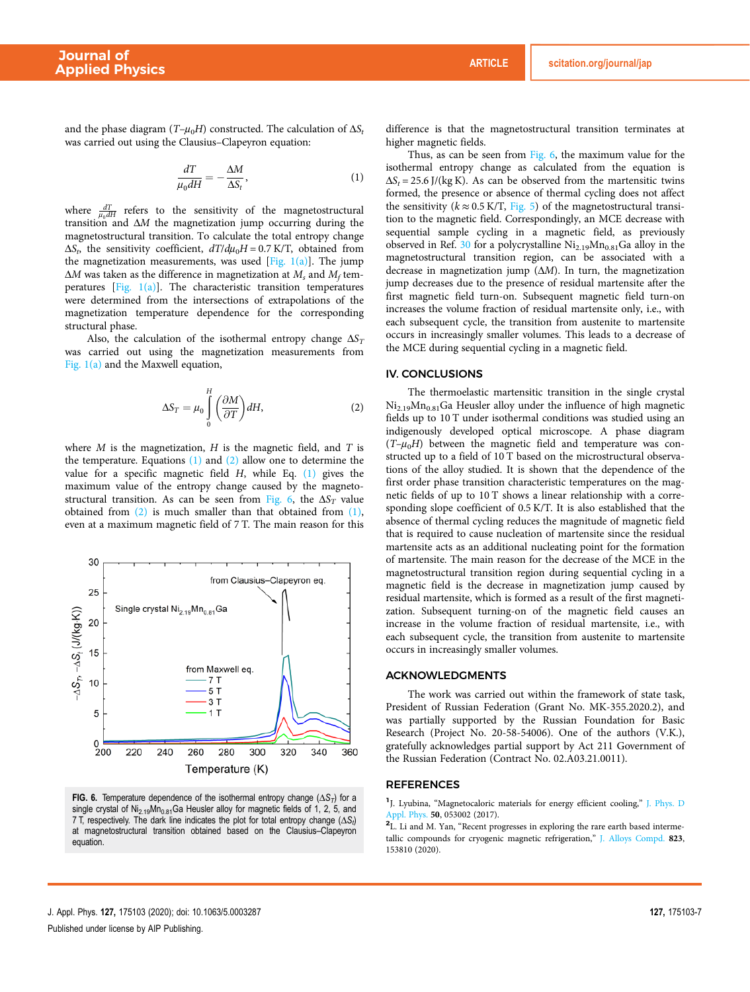and the phase diagram  $(T-\mu_0H)$  constructed. The calculation of  $\Delta S_t$ was carried out using the Clausius–Clapeyron equation:

$$
\frac{dT}{\mu_0 dH} = -\frac{\Delta M}{\Delta S_t},\tag{1}
$$

where  $\frac{dT}{\mu_0 dH}$  refers to the sensitivity of the magnetostructural transition and Δ*M* the magnetization jump occurring during the magnetostructural transition. To calculate the total entropy change  $\Delta S_t$ , the sensitivity coefficient,  $dT/d\mu_0H = 0.7$  K/T, obtained from the magnetization measurements, was used [Fig.  $1(a)$ ]. The jump Δ*M* was taken as the difference in magnetization at *M<sup>s</sup>* and *M<sup>f</sup>* temperatures  $[Fig, 1(a)]$ . The characteristic transition temperatures were determined from the intersections of extrapolations of the magnetization temperature dependence for the corresponding structural phase.

Also, the calculation of the isothermal entropy change  $\Delta S_T$ was carried out using the magnetization measurements from Fig. 1(a) and the Maxwell equation,

$$
\Delta S_T = \mu_0 \int_0^H \left(\frac{\partial M}{\partial T}\right) dH,\tag{2}
$$

where *M* is the magnetization, *H* is the magnetic field, and *T* is the temperature. Equations  $(1)$  and  $(2)$  allow one to determine the value for a specific magnetic field *H*, while Eq. (1) gives the maximum value of the entropy change caused by the magnetostructural transition. As can be seen from Fig. 6, the  $\Delta S_T$  value obtained from  $(2)$  is much smaller than that obtained from  $(1)$ , even at a maximum magnetic field of 7 T. The main reason for this



FIG. 6. Temperature dependence of the isothermal entropy change  $(\Delta S_T)$  for a single crystal of  $\text{Ni}_{2.19}\text{Mn}_{0.81}\text{Ga}$  Heusler alloy for magnetic fields of 1, 2, 5, and 7 T, respectively. The dark line indicates the plot for total entropy change  $(\Delta S_i)$ at magnetostructural transition obtained based on the Clausius–Clapeyron equation.

difference is that the magnetostructural transition terminates at higher magnetic fields.

Thus, as can be seen from Fig. 6, the maximum value for the isothermal entropy change as calculated from the equation is  $\Delta S_t = 25.6$  J/(kg K). As can be observed from the martensitic twins formed, the presence or absence of thermal cycling does not affect the sensitivity ( $k \approx 0.5$  K/T, Fig. 5) of the magnetostructural transition to the magnetic field. Correspondingly, an MCE decrease with sequential sample cycling in a magnetic field, as previously observed in Ref. 30 for a polycrystalline  $Ni<sub>2.19</sub>Mn<sub>0.81</sub>Ga$  alloy in the magnetostructural transition region, can be associated with a decrease in magnetization jump (Δ*M*). In turn, the magnetization jump decreases due to the presence of residual martensite after the first magnetic field turn-on. Subsequent magnetic field turn-on increases the volume fraction of residual martensite only, i.e., with each subsequent cycle, the transition from austenite to martensite occurs in increasingly smaller volumes. This leads to a decrease of the MCE during sequential cycling in a magnetic field.

#### IV. CONCLUSIONS

The thermoelastic martensitic transition in the single crystal  $Ni<sub>2.19</sub>Mn<sub>0.81</sub>Ga Heusler alloy under the influence of high magnetic$ fields up to 10 T under isothermal conditions was studied using an indigenously developed optical microscope. A phase diagram  $(T-\mu_0H)$  between the magnetic field and temperature was constructed up to a field of 10 T based on the microstructural observations of the alloy studied. It is shown that the dependence of the first order phase transition characteristic temperatures on the magnetic fields of up to 10 T shows a linear relationship with a corresponding slope coefficient of 0.5 K/T. It is also established that the absence of thermal cycling reduces the magnitude of magnetic field that is required to cause nucleation of martensite since the residual martensite acts as an additional nucleating point for the formation of martensite. The main reason for the decrease of the MCE in the magnetostructural transition region during sequential cycling in a magnetic field is the decrease in magnetization jump caused by residual martensite, which is formed as a result of the first magnetization. Subsequent turning-on of the magnetic field causes an increase in the volume fraction of residual martensite, i.e., with each subsequent cycle, the transition from austenite to martensite occurs in increasingly smaller volumes.

#### ACKNOWLEDGMENTS

The work was carried out within the framework of state task, President of Russian Federation (Grant No. MK-355.2020.2), and was partially supported by the Russian Foundation for Basic Research (Project No. 20-58-54006). One of the authors (V.K.), gratefully acknowledges partial support by Act 211 Government of the Russian Federation (Contract No. 02.A03.21.0011).

#### REFERENCES

<sup>1</sup>J. Lyubina, "Magnetocaloric materials for energy efficient cooling," J. Phys. D Appl. Phys. 50, 053002 (2017).

<sup>2</sup>L. Li and M. Yan, "Recent progresses in exploring the rare earth based intermetallic compounds for cryogenic magnetic refrigeration," J. Alloys Compd. 823, 153810 (2020).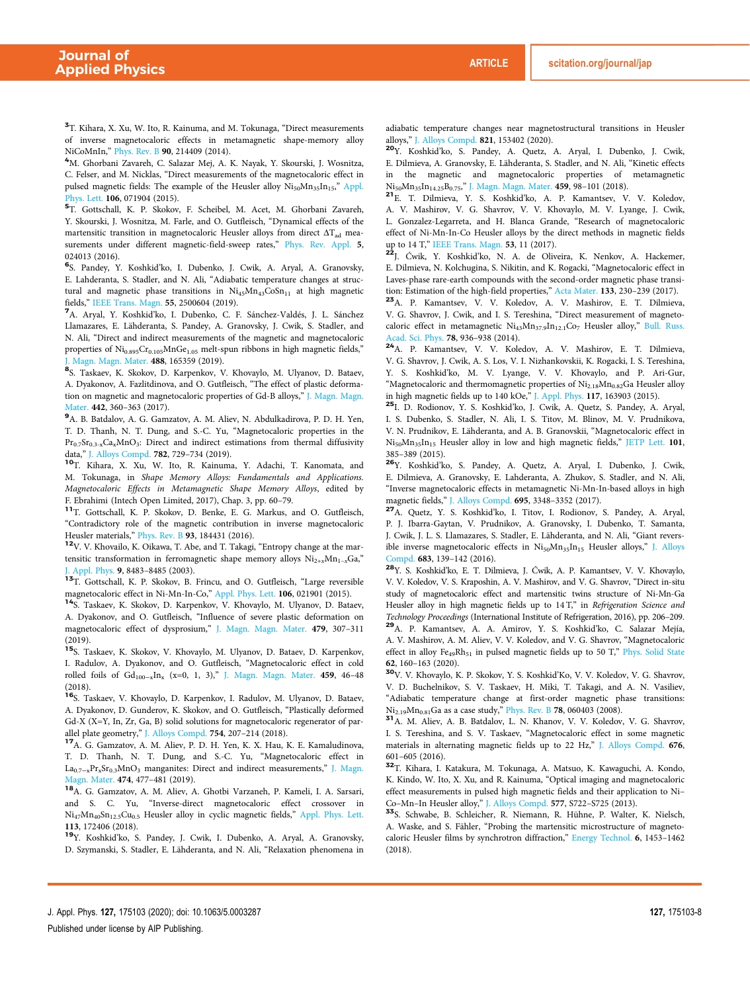<sup>3</sup>T. Kihara, X. Xu, W. Ito, R. Kainuma, and M. Tokunaga, "Direct measurements of inverse magnetocaloric effects in metamagnetic shape-memory alloy NiCoMnIn," Phys. Rev. B 90, 214409 (2014).

<sup>4</sup>M. Ghorbani Zavareh, C. Salazar Mej, A. K. Nayak, Y. Skourski, J. Wosnitza, C. Felser, and M. Nicklas, "Direct measurements of the magnetocaloric effect in pulsed magnetic fields: The example of the Heusler alloy Ni<sub>50</sub>Mn<sub>35</sub>In<sub>15</sub>," Appl. hys. Lett. 106, 071904 (2015).

5 T. Gottschall, K. P. Skokov, F. Scheibel, M. Acet, M. Ghorbani Zavareh, Y. Skourski, J. Wosnitza, M. Farle, and O. Gutfleisch, "Dynamical effects of the martensitic transition in magnetocaloric Heusler alloys from direct  $\Delta T_{ad}$  measurements under different magnetic-field-sweep rates," Phys. Rev. Appl. 5, 024013 (2016).

6 S. Pandey, Y. Koshkid'ko, I. Dubenko, J. Cwik, A. Aryal, A. Granovsky, E. Lahderanta, S. Stadler, and N. Ali, "Adiabatic temperature changes at structural and magnetic phase transitions in  $Ni<sub>45</sub>Mn<sub>43</sub>CoSn<sub>11</sub>$  at high magnetic fields," IEEE Trans. Magn. 55, 2500604 (2019).

<sup>7</sup>A. Aryal, Y. Koshkid'ko, I. Dubenko, C. F. Sánchez-Valdés, J. L. Sánchez Llamazares, E. Lähderanta, S. Pandey, A. Granovsky, J. Cwik, S. Stadler, and N. Ali, "Direct and indirect measurements of the magnetic and magnetocaloric properties of  $\mathrm{Ni_{0.895}Cr_{0.105}MnGe_{1.05}}$  melt-spun ribbons in high magnetic fields," J. Magn. Magn. Mater. 488, 165359 (2019).

8 S. Taskaev, K. Skokov, D. Karpenkov, V. Khovaylo, M. Ulyanov, D. Bataev, A. Dyakonov, A. Fazlitdinova, and O. Gutfleisch, "The effect of plastic deformation on magnetic and magnetocaloric properties of Gd-B alloys," J. Magn. Magn. Mater. 442, 360–363 (2017).

<sup>9</sup>A. B. Batdalov, A. G. Gamzatov, A. M. Aliev, N. Abdulkadirova, P. D. H. Yen, T. D. Thanh, N. T. Dung, and S.-C. Yu, "Magnetocaloric properties in the  $Pr_{0.7}Sr_{0.3-x}Ca_xMnO_3$ : Direct and indirect estimations from thermal diffusivity data," J. Alloys Compd. 782, 729–734 (2019).

<sup>10</sup>T. Kihara, X. Xu, W. Ito, R. Kainuma, Y. Adachi, T. Kanomata, and M. Tokunaga, in *Shape Memory Alloys: Fundamentals and Applications. Magnetocaloric Effects in Metamagnetic Shape Memory Alloys*, edited by F. Ebrahimi (Intech Open Limited, 2017), Chap. 3, pp. 60–79.

<sup>11</sup>T. Gottschall, K. P. Skokov, D. Benke, E. G. Markus, and O. Gutfleisch, "Contradictory role of the magnetic contribution in inverse magnetocaloric Heusler materials," Phys. Rev. B 93, 184431 (2016).

<sup>12</sup>V. V. Khovailo, K. Oikawa, T. Abe, and T. Takagi, "Entropy change at the martensitic transformation in ferromagnetic shape memory alloys  $Ni_{2+x}Mn_{1-x}Ga$ ," J. Appl. Phys. 9, 8483–8485 (2003).

<sup>13</sup>T. Gottschall, K. P. Skokov, B. Frincu, and O. Gutfleisch, "Large reversible magnetocaloric effect in Ni-Mn-In-Co," Appl. Phys. Lett. 106, 021901 (2015).

<sup>14</sup>S. Taskaev, K. Skokov, D. Karpenkov, V. Khovaylo, M. Ulyanov, D. Bataev, A. Dyakonov, and O. Gutfleisch, "Influence of severe plastic deformation on magnetocaloric effect of dysprosium," J. Magn. Magn. Mater. 479, 307–311 (2019).

<sup>15</sup>S. Taskaev, K. Skokov, V. Khovaylo, M. Ulyanov, D. Bataev, D. Karpenkov, I. Radulov, A. Dyakonov, and O. Gutfleisch, "Magnetocaloric effect in cold rolled foils of  $Gd_{100-x}$ In<sub>x</sub> (x=0, 1, 3)," J. Magn. Magn. Mater. 459, 46-48 (2018).

<sup>16</sup>S. Taskaev, V. Khovaylo, D. Karpenkov, I. Radulov, M. Ulyanov, D. Bataev, A. Dyakonov, D. Gunderov, K. Skokov, and O. Gutfleisch, "Plastically deformed Gd-X (X=Y, In, Zr, Ga, B) solid solutions for magnetocaloric regenerator of parallel plate geometry," J. Alloys Compd. 754, 207-214 (2018).

<sup>17</sup>A. G. Gamzatov, A. M. Aliev, P. D. H. Yen, K. X. Hau, K. E. Kamaludinova, T. D. Thanh, N. T. Dung, and S.-C. Yu, "Magnetocaloric effect in La<sub>0.7-x</sub>Pr<sub>x</sub>Sr<sub>0.3</sub>MnO<sub>3</sub> manganites: Direct and indirect measurements," J. Magn. Magn. Mater. 474, 477–481 (2019).

<sup>18</sup>A. G. Gamzatov, A. M. Aliev, A. Ghotbi Varzaneh, P. Kameli, I. A. Sarsari, and S. C. Yu, "Inverse-direct magnetocaloric effect crossover in Ni<sub>47</sub>Mn<sub>40</sub>Sn<sub>12.5</sub>Cu<sub>0.5</sub> Heusler alloy in cyclic magnetic fields," Appl. Phys. Lett. 113, 172406 (2018).

<sup>19</sup>Y. Koshkid'ko, S. Pandey, J. Cwik, I. Dubenko, A. Aryal, A. Granovsky, D. Szymanski, S. Stadler, E. Lähderanta, and N. Ali, "Relaxation phenomena in adiabatic temperature changes near magnetostructural transitions in Heusler alloys," J. Alloys Compd. 821, 153402 (2020).

<sup>20</sup>Y. Koshkid'ko, S. Pandey, A. Quetz, A. Aryal, I. Dubenko, J. Cwik, E. Dilmieva, A. Granovsky, E. Lähderanta, S. Stadler, and N. Ali, "Kinetic effects in the magnetic and magnetocaloric properties of metamagnetic Ni50Mn35In14.25B0.75," J. Magn. Magn. Mater. 459, 98–101 (2018).

<sup>21</sup>E. T. Dilmieva, Y. S. Koshkid'ko, A. P. Kamantsev, V. V. Koledov, A. V. Mashirov, V. G. Shavrov, V. V. Khovaylo, M. V. Lyange, J. Cwik, L. Gonzalez-Legarreta, and H. Blanca Grande, "Research of magnetocaloric effect of Ni-Mn-In-Co Heusler alloys by the direct methods in magnetic fields up to 14 T," IEEE Trans. Magn. 53, 11 (2017).

<sup>22</sup>J. Ćwik, Y. Koshkid'ko, N. A. de Oliveira, K. Nenkov, A. Hackemer, E. Dilmieva, N. Kolchugina, S. Nikitin, and K. Rogacki, "Magnetocaloric effect in Laves-phase rare-earth compounds with the second-order magnetic phase transition: Estimation of the high-field properties," Acta Mater. 133, 230–239 (2017).

<sup>23</sup>A. P. Kamantsev, V. V. Koledov, A. V. Mashirov, E. T. Dilmieva, V. G. Shavrov, J. Cwik, and I. S. Tereshina, "Direct measurement of magnetocaloric effect in metamagnetic Ni<sub>43</sub>Mn<sub>37.9</sub>In<sub>12.1</sub>Co<sub>7</sub> Heusler alloy," Bull. Russ. Acad. Sci. Phys. 78, 936–938 (2014).

<sup>24</sup>A. P. Kamantsev, V. V. Koledov, A. V. Mashirov, E. T. Dilmieva, V. G. Shavrov, J. Cwik, A. S. Los, V. I. Nizhankovskii, K. Rogacki, I. S. Tereshina, Y. S. Koshkid'ko, M. V. Lyange, V. V. Khovaylo, and P. Ari-Gur, "Magnetocaloric and thermomagnetic properties of  $\mathrm{Ni_{2.18}Mn_{0.82}Ga}$  Heusler alloy in high magnetic fields up to 140 kOe," J. Appl. Phys. 117, 163903 (2015).

<sup>25</sup>I. D. Rodionov, Y. S. Koshkid'ko, J. Cwik, A. Quetz, S. Pandey, A. Aryal, I. S. Dubenko, S. Stadler, N. Ali, I. S. Titov, M. Blinov, M. V. Prudnikova, V. N. Prudnikov, E. Lähderanta, and A. B. Granovskii, "Magnetocaloric effect in Ni<sub>50</sub>Mn<sub>35</sub>In<sub>15</sub> Heusler alloy in low and high magnetic fields," JETP Lett. 101, 385–389 (2015).

<sup>26</sup>Y. Koshkid'ko, S. Pandey, A. Quetz, A. Aryal, I. Dubenko, J. Cwik, E. Dilmieva, A. Granovsky, E. Lahderanta, A. Zhukov, S. Stadler, and N. Ali, "Inverse magnetocaloric effects in metamagnetic Ni-Mn-In-based alloys in high magnetic fields," J. Alloys Compd. 695, 3348–3352 (2017).

<sup>27</sup>A. Quetz, Y. S. Koshkid'ko, I. Titov, I. Rodionov, S. Pandey, A. Aryal, P. J. Ibarra-Gaytan, V. Prudnikov, A. Granovsky, I. Dubenko, T. Samanta, J. Cwik, J. L. S. Llamazares, S. Stadler, E. Lähderanta, and N. Ali, "Giant reversible inverse magnetocaloric effects in Ni<sub>50</sub>Mn<sub>35</sub>In<sub>15</sub> Heusler alloys," J. Alloys Compd. 683, 139–142 (2016).

<sup>28</sup>Y. S. Koshkid'ko, E. T. Dilmieva, J. Ćwik, A. P. Kamantsev, V. V. Khovaylo, V. V. Koledov, V. S. Kraposhin, A. V. Mashirov, and V. G. Shavrov, "Direct in-situ study of magnetocaloric effect and martensitic twins structure of Ni-Mn-Ga Heusler alloy in high magnetic fields up to 14 T," in *Refrigeration Science and Technology Proceedings* (International Institute of Refrigeration, 2016), pp. 206–209. <sup>29</sup>A. P. Kamantsev, A. A. Amirov, Y. S. Koshkid'ko, C. Salazar Mejía, A. V. Mashirov, A. M. Aliev, V. V. Koledov, and V. G. Shavrov, "Magnetocaloric effect in alloy  $Fe_{49}Rh_{51}$  in pulsed magnetic fields up to 50 T," Phys. Solid State 62, 160–163 (2020).

<sup>30</sup>V. V. Khovaylo, K. P. Skokov, Y. S. Koshkid'Ko, V. V. Koledov, V. G. Shavrov, V. D. Buchelnikov, S. V. Taskaev, H. Miki, T. Takagi, and A. N. Vasiliev, "Adiabatic temperature change at first-order magnetic phase transitions:  $Ni_{2.19}Mn_{0.81}Ga$  as a case study," Phys. Rev. B 78, 060403 (2008).

<sup>31</sup>A. M. Aliev, A. B. Batdalov, L. N. Khanov, V. V. Koledov, V. G. Shavrov, I. S. Tereshina, and S. V. Taskaev, "Magnetocaloric effect in some magnetic materials in alternating magnetic fields up to 22 Hz," J. Alloys Compd. 676, 601–605 (2016).

<sup>32</sup>T. Kihara, I. Katakura, M. Tokunaga, A. Matsuo, K. Kawaguchi, A. Kondo, K. Kindo, W. Ito, X. Xu, and R. Kainuma, "Optical imaging and magnetocaloric effect measurements in pulsed high magnetic fields and their application to Ni– Co–Mn–In Heusler alloy," J. Alloys Compd. 577, S722–S725 (2013).

<sup>33</sup>S. Schwabe, B. Schleicher, R. Niemann, R. Hühne, P. Walter, K. Nielsch, A. Waske, and S. Fähler, "Probing the martensitic microstructure of magnetocaloric Heusler films by synchrotron diffraction," Energy Technol. 6, 1453–1462 (2018).